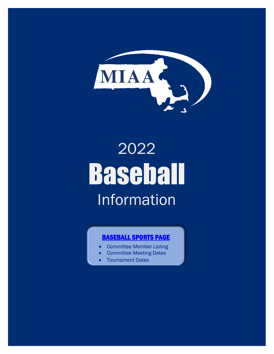

# 2022 Baseball Information

# [BASEBALL SPORTS PAGE](http://miaa.net/contentm/easy_pages/view.php?page_id=5&sid=38&menu_id=156)

- Committee Member Listing
- Committee Meeting Dates
- Tournament Dates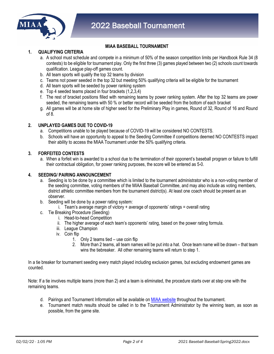

# **MIAA BASEBALL TOURNAMENT**

# **1. QUALIFYING CRITERIA**

- a. A school must schedule and compete in a minimum of 50% of the season competition limits per Handbook Rule 34 (8 contests) to be eligible for tournament play. Only the first three (3) games played between two (2) schools count towards qualification. League play-off games count.
- b. All team sports will qualify the top 32 teams by division
- c. Teams not power seeded in the top 32 but meeting 50% qualifying criteria will be eligible for the tournament
- d. All team sports will be seeded by power ranking system
- e. Top 4 seeded teams placed in four brackets (1,2,3,4)
- f. The rest of bracket positions filled with remaining teams by power ranking system. After the top 32 teams are power seeded, the remaining teams with 50 % or better record will be seeded from the bottom of each bracket
- g. All games will be at home site of higher seed for the Preliminary Play in games, Round of 32, Round of 16 and Round of 8.

# **2. UNPLAYED GAMES DUE TO COVID-19**

- a. Competitions unable to be played because of COVID-19 will be considered NO CONTESTS.
- b. Schools will have an opportunity to appeal to the Seeding Committee if competitions deemed NO CONTESTS impact their ability to access the MIAA Tournament under the 50% qualifying criteria.

# **3. FORFEITED CONTESTS**

a. When a forfeit win is awarded to a school due to the termination of their opponent's baseball program or failure to fulfill their contractual obligation, for power ranking purposes, the score will be entered as 5-0.

# **4. SEEDING/ PAIRING ANNOUNCEMENT**

- a. Seeding is to be done by a committee which is limited to the tournament administrator who is a non-voting member of the seeding committee, voting members of the MIAA Baseball Committee, and may also include as voting members, district athletic committee members from the tournament district(s). At least one coach should be present as an observer.
- b. Seeding will be done by a power rating system:
	- i. Team's average margin of victory + average of opponents' ratings = overall rating
- c. Tie Breaking Procedure (Seeding)
	- i. Head-to-head Competition
	- ii. The higher average of each team's opponents' rating, based on the power rating formula.
	- iii. League Champion
	- iv. Coin flip
		- 1. Only 2 teams tied use coin flip
		- 2. More than 2 teams, all team names will be put into a hat. Once team name will be drawn that team wins the tiebreaker. All other remaining teams will return to step 1.

In a tie breaker for tournament seeding every match played including exclusion games, but excluding endowment games are counted.

Note: If a tie involves multiple teams (more than 2) and a team is eliminated, the procedure starts over at step one with the remaining teams.

- d. Pairings and Tournament Information will be available o[n MIAA website](http://www.miaa.net/) throughout the tournament.
- e. Tournament match results should be called in to the Tournament Administrator by the winning team, as soon as possible, from the game site.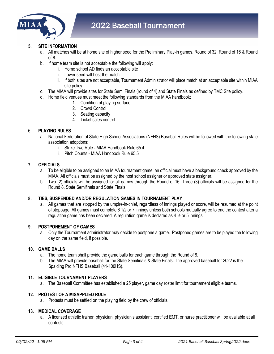

# **5. SITE INFORMATION**

- a. All matches will be at home site of higher seed for the Preliminary Play-in games, Round of 32, Round of 16 & Round of 8.
- b. If home team site is not acceptable the following will apply:
	- i. Home school AD finds an acceptable site
	- ii. Lower seed will host the match
	- iii. If both sites are not acceptable, Tournament Administrator will place match at an acceptable site within MIAA site policy
- c. The MIAA will provide sites for State Semi Finals (round of 4) and State Finals as defined by TMC Site policy.
- d. Home field venues must meet the following standards from the MIAA handbook:
	- 1. Condition of playing surface
	- 2. Crowd Control
	- 3. Seating capacity
	- 4. Ticket sales control

# 6. **PLAYING RULES**

- a. National Federation of State High School Associations (NFHS) Baseball Rules will be followed with the following state association adoptions:
	- i. Strike Two Rule MIAA Handbook Rule 65.4
	- ii. Pitch Counts MIAA Handbook Rule 65.5

# **7. OFFICIALS**

- a. To be eligible to be assigned to an MIAA tournament game, an official must have a background check approved by the MIAA. All officials must be assigned by the host school assigner or approved state assigner.
- b. Two (2) officials will be assigned for all games through the Round of 16. Three (3) officials will be assigned for the Round 8, State Semifinals and State Finals.

#### **8. TIES, SUSPENDED AND/OR REGULATION GAMES IN TOURNAMENT PLAY**

a. All games that are stopped by the umpire-in-chief, regardless of innings played or score, will be resumed at the point of stoppage. All games must complete 6 1/2 or 7 innings unless both schools mutually agree to end the contest after a regulation game has been declared. A regulation game is declared as  $4\frac{1}{2}$  or 5 innings.

#### **9. POSTPONEMENT OF GAMES**

a. Only the Tournament administrator may decide to postpone a game. Postponed games are to be played the following day on the same field, if possible.

#### **10. GAME BALLS**

- a. The home team shall provide the game balls for each game through the Round of 8.
- b. The MIAA will provide baseball for the State Semifinals & State Finals. The approved baseball for 2022 is the Spalding Pro NFHS Baseball (41-100HS).

# **11. ELIGIBLE TOURNAMENT PLAYERS**

a. The Baseball Committee has established a 25 player, game day roster limit for tournament eligible teams.

#### **12. PROTEST OF A MISAPPLIED RULE**

a. Protests must be settled on the playing field by the crew of officials.

#### **13. MEDICAL COVERAGE**

a. A licensed athletic trainer, physician, physician's assistant, certified EMT, or nurse practitioner will be available at all contests.